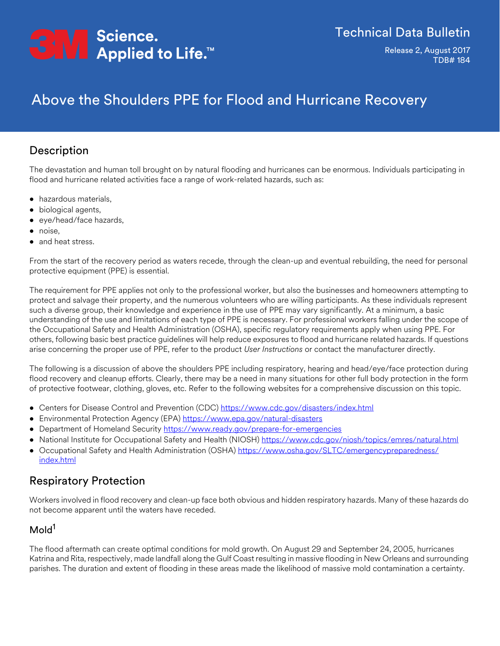

Release 2, August 2017 TDB# 184

# Above the Shoulders PPE for Flood and Hurricane Recovery

# Description

The devastation and human toll brought on by natural flooding and hurricanes can be enormous. Individuals participating in flood and hurricane related activities face a range of work-related hazards, such as:

- hazardous materials,
- biological agents,
- eye/head/face hazards,
- noise,
- and heat stress.

From the start of the recovery period as waters recede, through the clean-up and eventual rebuilding, the need for personal protective equipment (PPE) is essential.

The requirement for PPE applies not only to the professional worker, but also the businesses and homeowners attempting to protect and salvage their property, and the numerous volunteers who are willing participants. As these individuals represent such a diverse group, their knowledge and experience in the use of PPE may vary significantly. At a minimum, a basic understanding of the use and limitations of each type of PPE is necessary. For professional workers falling under the scope of the Occupational Safety and Health Administration (OSHA), specific regulatory requirements apply when using PPE. For others, following basic best practice guidelines will help reduce exposures to flood and hurricane related hazards. If questions arise concerning the proper use of PPE, refer to the product *User Instructions* or contact the manufacturer directly.

The following is a discussion of above the shoulders PPE including respiratory, hearing and head/eye/face protection during flood recovery and cleanup efforts. Clearly, there may be a need in many situations for other full body protection in the form of protective footwear, clothing, gloves, etc. Refer to the following websites for a comprehensive discussion on this topic.

- Centers for Disease Control and Prevention (CDC)<https://www.cdc.gov/disasters/index.html>
- Environmental Protection Agency (EPA) <https://www.epa.gov/natural-disasters>
- Department of Homeland Security<https://www.ready.gov/prepare-for-emergencies>
- National Institute for Occupational Safety and Health (NIOSH)<https://www.cdc.gov/niosh/topics/emres/natural.html>
- Occupational Safety and Health Administration (OSHA) [https://www.osha.gov/SLTC/emergencypreparedness/](https://www.osha.gov/SLTC/emergencypreparedness/index.html) [index.html](https://www.osha.gov/SLTC/emergencypreparedness/index.html)

# Respiratory Protection

Workers involved in flood recovery and clean-up face both obvious and hidden respiratory hazards. Many of these hazards do not become apparent until the waters have receded.

# Mold<sup>1</sup>

The flood aftermath can create optimal conditions for mold growth. On August 29 and September 24, 2005, hurricanes Katrina and Rita, respectively, made landfall along the Gulf Coast resulting in massive flooding in New Orleans and surrounding parishes. The duration and extent of flooding in these areas made the likelihood of massive mold contamination a certainty.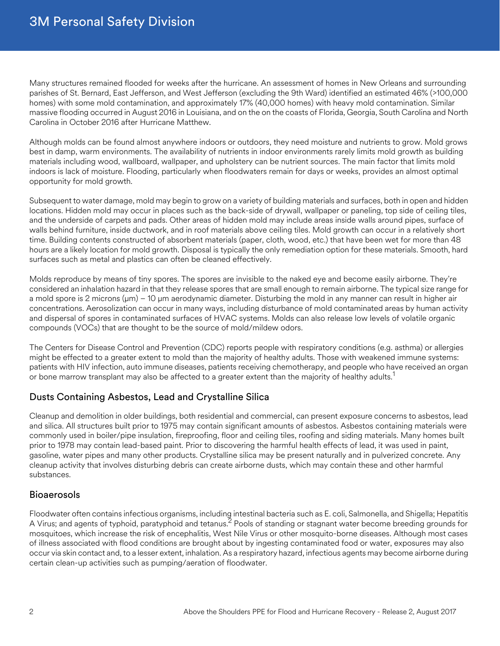Many structures remained flooded for weeks after the hurricane. An assessment of homes in New Orleans and surrounding parishes of St. Bernard, East Jefferson, and West Jefferson (excluding the 9th Ward) identified an estimated 46% (>100,000 homes) with some mold contamination, and approximately 17% (40,000 homes) with heavy mold contamination. Similar massive flooding occurred in August 2016 in Louisiana, and on the on the coasts of Florida, Georgia, South Carolina and North Carolina in October 2016 after Hurricane Matthew.

Although molds can be found almost anywhere indoors or outdoors, they need moisture and nutrients to grow. Mold grows best in damp, warm environments. The availability of nutrients in indoor environments rarely limits mold growth as building materials including wood, wallboard, wallpaper, and upholstery can be nutrient sources. The main factor that limits mold indoors is lack of moisture. Flooding, particularly when floodwaters remain for days or weeks, provides an almost optimal opportunity for mold growth.

Subsequent to water damage, mold may begin to grow on a variety of building materials and surfaces, both in open and hidden locations. Hidden mold may occur in places such as the back-side of drywall, wallpaper or paneling, top side of ceiling tiles, and the underside of carpets and pads. Other areas of hidden mold may include areas inside walls around pipes, surface of walls behind furniture, inside ductwork, and in roof materials above ceiling tiles. Mold growth can occur in a relatively short time. Building contents constructed of absorbent materials (paper, cloth, wood, etc.) that have been wet for more than 48 hours are a likely location for mold growth. Disposal is typically the only remediation option for these materials. Smooth, hard surfaces such as metal and plastics can often be cleaned effectively.

Molds reproduce by means of tiny spores. The spores are invisible to the naked eye and become easily airborne. They're considered an inhalation hazard in that they release spores that are small enough to remain airborne. The typical size range for a mold spore is 2 microns (μm) – 10 μm aerodynamic diameter. Disturbing the mold in any manner can result in higher air concentrations. Aerosolization can occur in many ways, including disturbance of mold contaminated areas by human activity and dispersal of spores in contaminated surfaces of HVAC systems. Molds can also release low levels of volatile organic compounds (VOCs) that are thought to be the source of mold/mildew odors.

The Centers for Disease Control and Prevention (CDC) reports people with respiratory conditions (e.g. asthma) or allergies might be effected to a greater extent to mold than the majority of healthy adults. Those with weakened immune systems: patients with HIV infection, auto immune diseases, patients receiving chemotherapy, and people who have received an organ or bone marrow transplant may also be affected to a greater extent than the majority of healthy adults.<sup>1</sup>

### Dusts Containing Asbestos, Lead and Crystalline Silica

Cleanup and demolition in older buildings, both residential and commercial, can present exposure concerns to asbestos, lead and silica. All structures built prior to 1975 may contain significant amounts of asbestos. Asbestos containing materials were commonly used in boiler/pipe insulation, fireproofing, floor and ceiling tiles, roofing and siding materials. Many homes built prior to 1978 may contain lead-based paint. Prior to discovering the harmful health effects of lead, it was used in paint, gasoline, water pipes and many other products. Crystalline silica may be present naturally and in pulverized concrete. Any cleanup activity that involves disturbing debris can create airborne dusts, which may contain these and other harmful substances.

### Bioaerosols

Floodwater often contains infectious organisms, including intestinal bacteria such as E. coli, Salmonella, and Shigella; Hepatitis A Virus; and agents of typhoid, paratyphoid and tetanus.<sup>2</sup> Pools of standing or stagnant water become breeding grounds for mosquitoes, which increase the risk of encephalitis, West Nile Virus or other mosquito-borne diseases. Although most cases of illness associated with flood conditions are brought about by ingesting contaminated food or water, exposures may also occur via skin contact and, to a lesser extent, inhalation. As a respiratory hazard, infectious agents may become airborne during certain clean-up activities such as pumping/aeration of floodwater.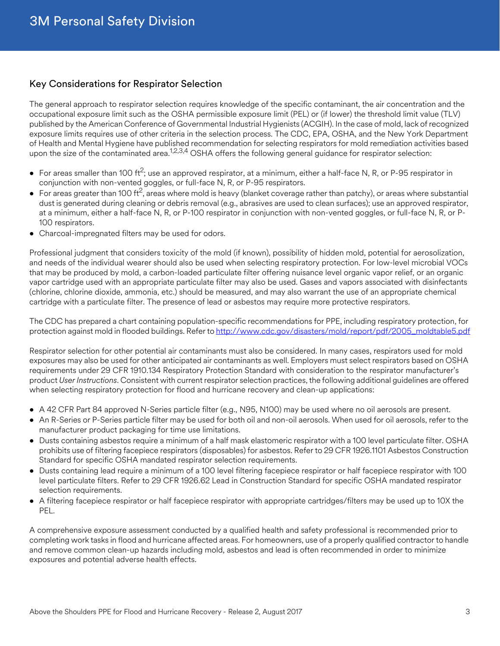#### Key Considerations for Respirator Selection

The general approach to respirator selection requires knowledge of the specific contaminant, the air concentration and the occupational exposure limit such as the OSHA permissible exposure limit (PEL) or (if lower) the threshold limit value (TLV) published by the American Conference of Governmental Industrial Hygienists (ACGIH). In the case of mold, lack of recognized exposure limits requires use of other criteria in the selection process. The CDC, EPA, OSHA, and the New York Department of Health and Mental Hygiene have published recommendation for selecting respirators for mold remediation activities based upon the size of the contaminated area.<sup>1,2,3,4</sup> OSHA offers the following general guidance for respirator selection:

- For areas smaller than 100 ft<sup>2</sup>; use an approved respirator, at a minimum, either a half-face N, R, or P-95 respirator in conjunction with non-vented goggles, or full-face N, R, or P-95 respirators.
- For areas greater than 100 ft<sup>2</sup>, areas where mold is heavy (blanket coverage rather than patchy), or areas where substantial dust is generated during cleaning or debris removal (e.g., abrasives are used to clean surfaces); use an approved respirator, at a minimum, either a half-face N, R, or P-100 respirator in conjunction with non-vented goggles, or full-face N, R, or P-100 respirators.
- Charcoal-impregnated filters may be used for odors.

Professional judgment that considers toxicity of the mold (if known), possibility of hidden mold, potential for aerosolization, and needs of the individual wearer should also be used when selecting respiratory protection. For low-level microbial VOCs that may be produced by mold, a carbon-loaded particulate filter offering nuisance level organic vapor relief, or an organic vapor cartridge used with an appropriate particulate filter may also be used. Gases and vapors associated with disinfectants (chlorine, chlorine dioxide, ammonia, etc.) should be measured, and may also warrant the use of an appropriate chemical cartridge with a particulate filter. The presence of lead or asbestos may require more protective respirators.

The CDC has prepared a chart containing population-specific recommendations for PPE, including respiratory protection, for protection against mold in flooded buildings. Refer to [http://www.cdc.gov/disasters/mold/report/pdf/2005\\_moldtable5.pdf](http://www.cdc.gov/disasters/mold/report/pdf/2005_moldtable5.pdf)

Respirator selection for other potential air contaminants must also be considered. In many cases, respirators used for mold exposures may also be used for other anticipated air contaminants as well. Employers must select respirators based on OSHA requirements under 29 CFR 1910.134 Respiratory Protection Standard with consideration to the respirator manufacturer's product *User Instructions*. Consistent with current respirator selection practices, the following additional guidelines are offered when selecting respiratory protection for flood and hurricane recovery and clean-up applications:

- A 42 CFR Part 84 approved N-Series particle filter (e.g., N95, N100) may be used where no oil aerosols are present.
- An R-Series or P-Series particle filter may be used for both oil and non-oil aerosols. When used for oil aerosols, refer to the manufacturer product packaging for time use limitations.
- Dusts containing asbestos require a minimum of a half mask elastomeric respirator with a 100 level particulate filter. OSHA prohibits use of filtering facepiece respirators (disposables) for asbestos. Refer to 29 CFR 1926.1101 Asbestos Construction Standard for specific OSHA mandated respirator selection requirements.
- Dusts containing lead require a minimum of a 100 level filtering facepiece respirator or half facepiece respirator with 100 level particulate filters. Refer to 29 CFR 1926.62 Lead in Construction Standard for specific OSHA mandated respirator selection requirements.
- A filtering facepiece respirator or half facepiece respirator with appropriate cartridges/filters may be used up to 10X the PEL.

A comprehensive exposure assessment conducted by a qualified health and safety professional is recommended prior to completing work tasks in flood and hurricane affected areas. For homeowners, use of a properly qualified contractor to handle and remove common clean-up hazards including mold, asbestos and lead is often recommended in order to minimize exposures and potential adverse health effects.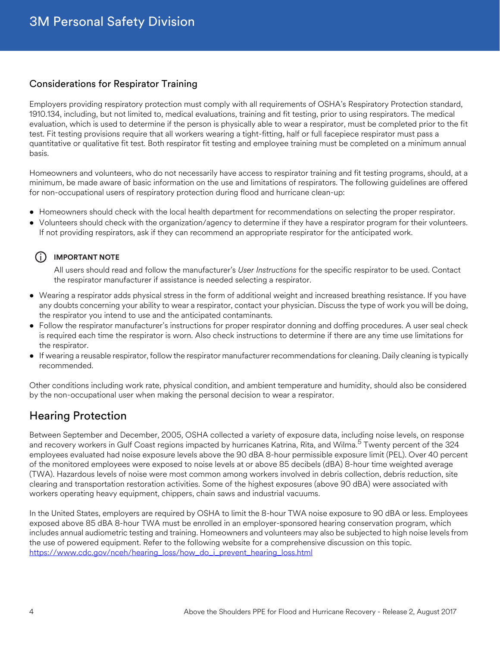### Considerations for Respirator Training

Employers providing respiratory protection must comply with all requirements of OSHA's Respiratory Protection standard, 1910.134, including, but not limited to, medical evaluations, training and fit testing, prior to using respirators. The medical evaluation, which is used to determine if the person is physically able to wear a respirator, must be completed prior to the fit test. Fit testing provisions require that all workers wearing a tight-fitting, half or full facepiece respirator must pass a quantitative or qualitative fit test. Both respirator fit testing and employee training must be completed on a minimum annual basis.

Homeowners and volunteers, who do not necessarily have access to respirator training and fit testing programs, should, at a minimum, be made aware of basic information on the use and limitations of respirators. The following guidelines are offered for non-occupational users of respiratory protection during flood and hurricane clean-up:

- Homeowners should check with the local health department for recommendations on selecting the proper respirator.
- Volunteers should check with the organization/agency to determine if they have a respirator program for their volunteers. If not providing respirators, ask if they can recommend an appropriate respirator for the anticipated work.

### $(i)$  **IMPORTANT NOTE**

All users should read and follow the manufacturer's *User Instructions* for the specific respirator to be used. Contact the respirator manufacturer if assistance is needed selecting a respirator.

- Wearing a respirator adds physical stress in the form of additional weight and increased breathing resistance. If you have any doubts concerning your ability to wear a respirator, contact your physician. Discuss the type of work you will be doing, the respirator you intend to use and the anticipated contaminants.
- Follow the respirator manufacturer's instructions for proper respirator donning and doffing procedures. A user seal check is required each time the respirator is worn. Also check instructions to determine if there are any time use limitations for the respirator.
- If wearing a reusable respirator, follow the respirator manufacturer recommendations for cleaning. Daily cleaning is typically recommended.

Other conditions including work rate, physical condition, and ambient temperature and humidity, should also be considered by the non-occupational user when making the personal decision to wear a respirator.

# Hearing Protection

Between September and December, 2005, OSHA collected a variety of exposure data, including noise levels, on response and recovery workers in Gulf Coast regions impacted by hurricanes Katrina, Rita, and Wilma.<sup>5</sup> Twenty percent of the 324 employees evaluated had noise exposure levels above the 90 dBA 8-hour permissible exposure limit (PEL). Over 40 percent of the monitored employees were exposed to noise levels at or above 85 decibels (dBA) 8-hour time weighted average (TWA). Hazardous levels of noise were most common among workers involved in debris collection, debris reduction, site clearing and transportation restoration activities. Some of the highest exposures (above 90 dBA) were associated with workers operating heavy equipment, chippers, chain saws and industrial vacuums.

In the United States, employers are required by OSHA to limit the 8-hour TWA noise exposure to 90 dBA or less. Employees exposed above 85 dBA 8-hour TWA must be enrolled in an employer-sponsored hearing conservation program, which includes annual audiometric testing and training. Homeowners and volunteers may also be subjected to high noise levels from the use of powered equipment. Refer to the following website for a comprehensive discussion on this topic. [https://www.cdc.gov/nceh/hearing\\_loss/how\\_do\\_i\\_prevent\\_hearing\\_loss.html](https://www.cdc.gov/nceh/hearing_loss/how_do_i_prevent_hearing_loss.html)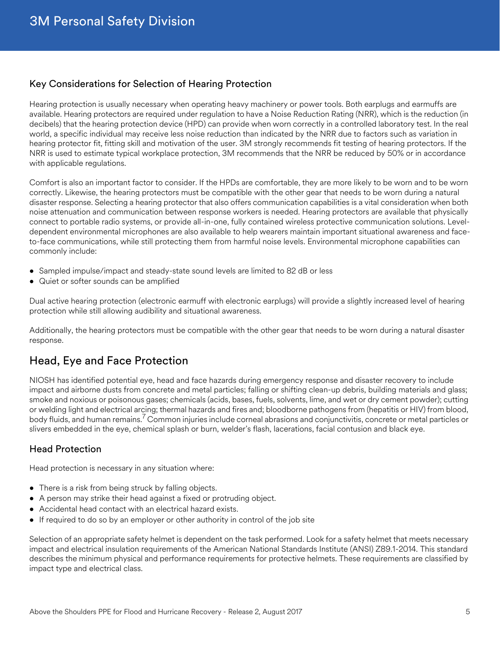#### Key Considerations for Selection of Hearing Protection

Hearing protection is usually necessary when operating heavy machinery or power tools. Both earplugs and earmuffs are available. Hearing protectors are required under regulation to have a Noise Reduction Rating (NRR), which is the reduction (in decibels) that the hearing protection device (HPD) can provide when worn correctly in a controlled laboratory test. In the real world, a specific individual may receive less noise reduction than indicated by the NRR due to factors such as variation in hearing protector fit, fitting skill and motivation of the user. 3M strongly recommends fit testing of hearing protectors. If the NRR is used to estimate typical workplace protection, 3M recommends that the NRR be reduced by 50% or in accordance with applicable regulations.

Comfort is also an important factor to consider. If the HPDs are comfortable, they are more likely to be worn and to be worn correctly. Likewise, the hearing protectors must be compatible with the other gear that needs to be worn during a natural disaster response. Selecting a hearing protector that also offers communication capabilities is a vital consideration when both noise attenuation and communication between response workers is needed. Hearing protectors are available that physically connect to portable radio systems, or provide all-in-one, fully contained wireless protective communication solutions. Leveldependent environmental microphones are also available to help wearers maintain important situational awareness and faceto-face communications, while still protecting them from harmful noise levels. Environmental microphone capabilities can commonly include:

- Sampled impulse/impact and steady-state sound levels are limited to 82 dB or less
- Quiet or softer sounds can be amplified

Dual active hearing protection (electronic earmuff with electronic earplugs) will provide a slightly increased level of hearing protection while still allowing audibility and situational awareness.

Additionally, the hearing protectors must be compatible with the other gear that needs to be worn during a natural disaster response.

# Head, Eye and Face Protection

NIOSH has identified potential eye, head and face hazards during emergency response and disaster recovery to include impact and airborne dusts from concrete and metal particles; falling or shifting clean-up debris, building materials and glass; smoke and noxious or poisonous gases; chemicals (acids, bases, fuels, solvents, lime, and wet or dry cement powder); cutting or welding light and electrical arcing; thermal hazards and fires and; bloodborne pathogens from (hepatitis or HIV) from blood, body fluids, and human remains.<sup>7</sup> Common injuries include corneal abrasions and conjunctivitis, concrete or metal particles or slivers embedded in the eye, chemical splash or burn, welder's flash, lacerations, facial contusion and black eye.

#### Head Protection

Head protection is necessary in any situation where:

- There is a risk from being struck by falling objects.
- A person may strike their head against a fixed or protruding object.
- Accidental head contact with an electrical hazard exists.
- If required to do so by an employer or other authority in control of the job site

Selection of an appropriate safety helmet is dependent on the task performed. Look for a safety helmet that meets necessary impact and electrical insulation requirements of the American National Standards Institute (ANSI) Z89.1-2014. This standard describes the minimum physical and performance requirements for protective helmets. These requirements are classified by impact type and electrical class.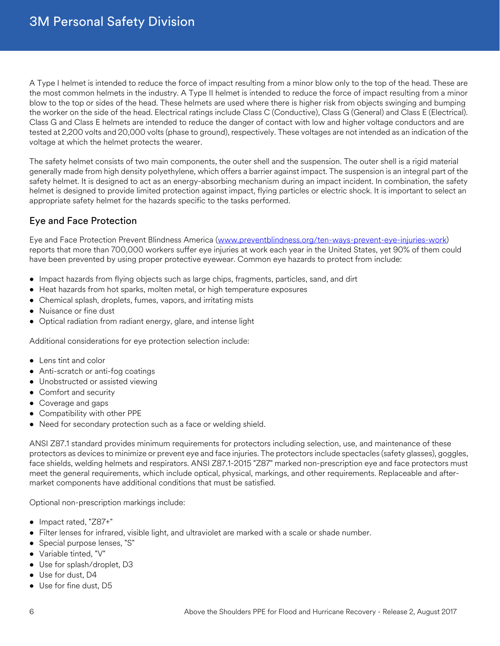A Type I helmet is intended to reduce the force of impact resulting from a minor blow only to the top of the head. These are the most common helmets in the industry. A Type II helmet is intended to reduce the force of impact resulting from a minor blow to the top or sides of the head. These helmets are used where there is higher risk from objects swinging and bumping the worker on the side of the head. Electrical ratings include Class C (Conductive), Class G (General) and Class E (Electrical). Class G and Class E helmets are intended to reduce the danger of contact with low and higher voltage conductors and are tested at 2,200 volts and 20,000 volts (phase to ground), respectively. These voltages are not intended as an indication of the voltage at which the helmet protects the wearer.

The safety helmet consists of two main components, the outer shell and the suspension. The outer shell is a rigid material generally made from high density polyethylene, which offers a barrier against impact. The suspension is an integral part of the safety helmet. It is designed to act as an energy-absorbing mechanism during an impact incident. In combination, the safety helmet is designed to provide limited protection against impact, flying particles or electric shock. It is important to select an appropriate safety helmet for the hazards specific to the tasks performed.

### Eye and Face Protection

Eye and Face Protection Prevent Blindness America ([www.preventblindness.org/ten-ways-prevent-eye-injuries-work\)](www.preventblindness.org/ten-ways-prevent-eye-injuries-work) reports that more than 700,000 workers suffer eye injuries at work each year in the United States, yet 90% of them could have been prevented by using proper protective eyewear. Common eye hazards to protect from include:

- Impact hazards from flying objects such as large chips, fragments, particles, sand, and dirt
- Heat hazards from hot sparks, molten metal, or high temperature exposures
- Chemical splash, droplets, fumes, vapors, and irritating mists
- Nuisance or fine dust
- Optical radiation from radiant energy, glare, and intense light

Additional considerations for eye protection selection include:

- Lens tint and color
- Anti-scratch or anti-fog coatings
- Unobstructed or assisted viewing
- Comfort and security
- Coverage and gaps
- Compatibility with other PPE
- Need for secondary protection such as a face or welding shield.

ANSI Z87.1 standard provides minimum requirements for protectors including selection, use, and maintenance of these protectors as devices to minimize or prevent eye and face injuries. The protectors include spectacles (safety glasses), goggles, face shields, welding helmets and respirators. ANSI Z87.1-2015 "Z87" marked non-prescription eye and face protectors must meet the general requirements, which include optical, physical, markings, and other requirements. Replaceable and aftermarket components have additional conditions that must be satisfied.

Optional non-prescription markings include:

- Impact rated, "Z87+"
- Filter lenses for infrared, visible light, and ultraviolet are marked with a scale or shade number.
- Special purpose lenses, "S"
- Variable tinted, "V"
- Use for splash/droplet, D3
- Use for dust, D4
- Use for fine dust, D5